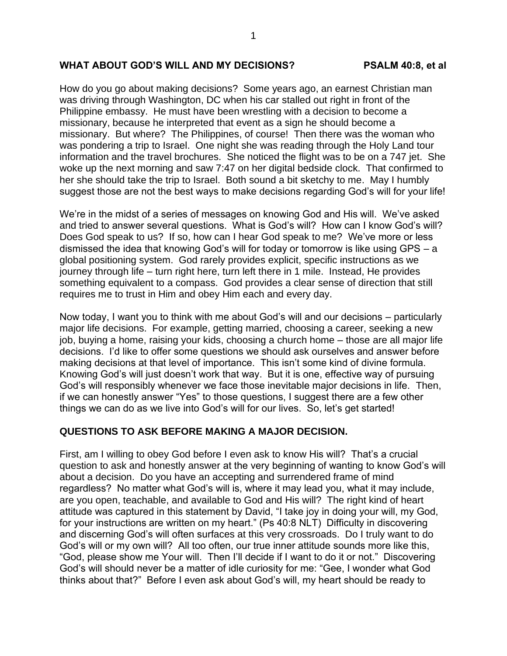## **WHAT ABOUT GOD'S WILL AND MY DECISIONS? PSALM 40:8, et al**

How do you go about making decisions? Some years ago, an earnest Christian man was driving through Washington, DC when his car stalled out right in front of the Philippine embassy. He must have been wrestling with a decision to become a missionary, because he interpreted that event as a sign he should become a missionary. But where? The Philippines, of course! Then there was the woman who was pondering a trip to Israel. One night she was reading through the Holy Land tour information and the travel brochures. She noticed the flight was to be on a 747 jet. She woke up the next morning and saw 7:47 on her digital bedside clock. That confirmed to her she should take the trip to Israel. Both sound a bit sketchy to me. May I humbly suggest those are not the best ways to make decisions regarding God's will for your life!

We're in the midst of a series of messages on knowing God and His will. We've asked and tried to answer several questions. What is God's will? How can I know God's will? Does God speak to us? If so, how can I hear God speak to me? We've more or less dismissed the idea that knowing God's will for today or tomorrow is like using GPS – a global positioning system. God rarely provides explicit, specific instructions as we journey through life – turn right here, turn left there in 1 mile. Instead, He provides something equivalent to a compass. God provides a clear sense of direction that still requires me to trust in Him and obey Him each and every day.

Now today, I want you to think with me about God's will and our decisions – particularly major life decisions. For example, getting married, choosing a career, seeking a new job, buying a home, raising your kids, choosing a church home – those are all major life decisions. I'd like to offer some questions we should ask ourselves and answer before making decisions at that level of importance. This isn't some kind of divine formula. Knowing God's will just doesn't work that way. But it is one, effective way of pursuing God's will responsibly whenever we face those inevitable major decisions in life. Then, if we can honestly answer "Yes" to those questions, I suggest there are a few other things we can do as we live into God's will for our lives. So, let's get started!

## **QUESTIONS TO ASK BEFORE MAKING A MAJOR DECISION.**

First, am I willing to obey God before I even ask to know His will? That's a crucial question to ask and honestly answer at the very beginning of wanting to know God's will about a decision. Do you have an accepting and surrendered frame of mind regardless? No matter what God's will is, where it may lead you, what it may include, are you open, teachable, and available to God and His will? The right kind of heart attitude was captured in this statement by David, "I take joy in doing your will, my God, for your instructions are written on my heart." (Ps 40:8 NLT) Difficulty in discovering and discerning God's will often surfaces at this very crossroads. Do I truly want to do God's will or my own will? All too often, our true inner attitude sounds more like this, "God, please show me Your will. Then I'll decide if I want to do it or not." Discovering God's will should never be a matter of idle curiosity for me: "Gee, I wonder what God thinks about that?" Before I even ask about God's will, my heart should be ready to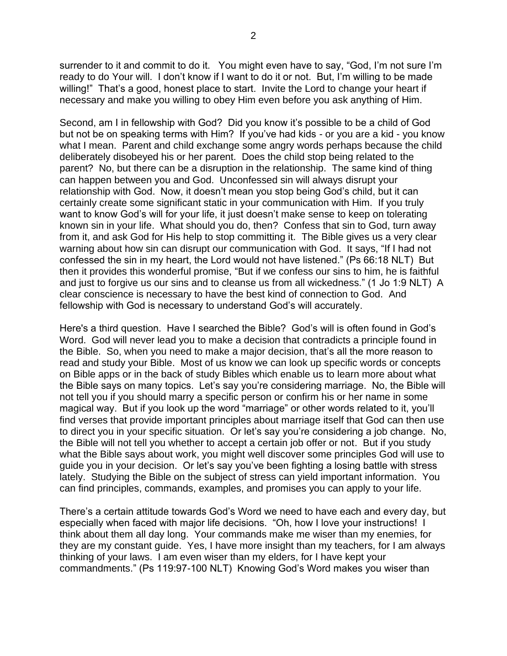surrender to it and commit to do it. You might even have to say, "God, I'm not sure I'm ready to do Your will. I don't know if I want to do it or not. But, I'm willing to be made willing!" That's a good, honest place to start. Invite the Lord to change your heart if necessary and make you willing to obey Him even before you ask anything of Him.

Second, am I in fellowship with God? Did you know it's possible to be a child of God but not be on speaking terms with Him? If you've had kids - or you are a kid - you know what I mean. Parent and child exchange some angry words perhaps because the child deliberately disobeyed his or her parent. Does the child stop being related to the parent? No, but there can be a disruption in the relationship. The same kind of thing can happen between you and God. Unconfessed sin will always disrupt your relationship with God. Now, it doesn't mean you stop being God's child, but it can certainly create some significant static in your communication with Him. If you truly want to know God's will for your life, it just doesn't make sense to keep on tolerating known sin in your life. What should you do, then? Confess that sin to God, turn away from it, and ask God for His help to stop committing it. The Bible gives us a very clear warning about how sin can disrupt our communication with God. It says, "If I had not confessed the sin in my heart, the Lord would not have listened." (Ps 66:18 NLT) But then it provides this wonderful promise, "But if we confess our sins to him, he is faithful and just to forgive us our sins and to cleanse us from all wickedness." (1 Jo 1:9 NLT) A clear conscience is necessary to have the best kind of connection to God. And fellowship with God is necessary to understand God's will accurately.

Here's a third question. Have I searched the Bible? God's will is often found in God's Word. God will never lead you to make a decision that contradicts a principle found in the Bible. So, when you need to make a major decision, that's all the more reason to read and study your Bible. Most of us know we can look up specific words or concepts on Bible apps or in the back of study Bibles which enable us to learn more about what the Bible says on many topics. Let's say you're considering marriage. No, the Bible will not tell you if you should marry a specific person or confirm his or her name in some magical way. But if you look up the word "marriage" or other words related to it, you'll find verses that provide important principles about marriage itself that God can then use to direct you in your specific situation. Or let's say you're considering a job change. No, the Bible will not tell you whether to accept a certain job offer or not. But if you study what the Bible says about work, you might well discover some principles God will use to guide you in your decision. Or let's say you've been fighting a losing battle with stress lately. Studying the Bible on the subject of stress can yield important information. You can find principles, commands, examples, and promises you can apply to your life.

There's a certain attitude towards God's Word we need to have each and every day, but especially when faced with major life decisions. "Oh, how I love your instructions! I think about them all day long. Your commands make me wiser than my enemies, for they are my constant guide. Yes, I have more insight than my teachers, for I am always thinking of your laws. I am even wiser than my elders, for I have kept your commandments." (Ps 119:97-100 NLT) Knowing God's Word makes you wiser than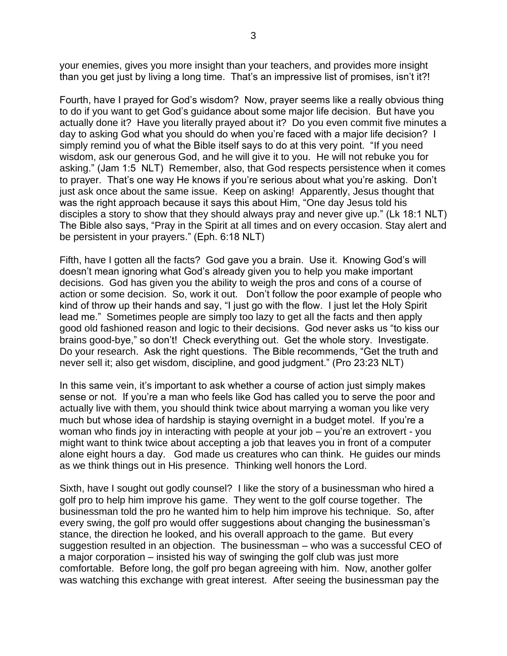your enemies, gives you more insight than your teachers, and provides more insight than you get just by living a long time. That's an impressive list of promises, isn't it?!

Fourth, have I prayed for God's wisdom? Now, prayer seems like a really obvious thing to do if you want to get God's guidance about some major life decision. But have you actually done it? Have you literally prayed about it? Do you even commit five minutes a day to asking God what you should do when you're faced with a major life decision? I simply remind you of what the Bible itself says to do at this very point. "If you need wisdom, ask our generous God, and he will give it to you. He will not rebuke you for asking." (Jam 1:5 NLT) Remember, also, that God respects persistence when it comes to prayer. That's one way He knows if you're serious about what you're asking. Don't just ask once about the same issue. Keep on asking! Apparently, Jesus thought that was the right approach because it says this about Him, "One day Jesus told his disciples a story to show that they should always pray and never give up." (Lk 18:1 NLT) The Bible also says, "Pray in the Spirit at all times and on every occasion. Stay alert and be persistent in your prayers." (Eph. 6:18 NLT)

Fifth, have I gotten all the facts? God gave you a brain. Use it. Knowing God's will doesn't mean ignoring what God's already given you to help you make important decisions. God has given you the ability to weigh the pros and cons of a course of action or some decision. So, work it out. Don't follow the poor example of people who kind of throw up their hands and say, "I just go with the flow. I just let the Holy Spirit lead me." Sometimes people are simply too lazy to get all the facts and then apply good old fashioned reason and logic to their decisions. God never asks us "to kiss our brains good-bye," so don't! Check everything out. Get the whole story. Investigate. Do your research. Ask the right questions. The Bible recommends, "Get the truth and never sell it; also get wisdom, discipline, and good judgment." (Pro 23:23 NLT)

In this same vein, it's important to ask whether a course of action just simply makes sense or not. If you're a man who feels like God has called you to serve the poor and actually live with them, you should think twice about marrying a woman you like very much but whose idea of hardship is staying overnight in a budget motel. If you're a woman who finds joy in interacting with people at your job – you're an extrovert - you might want to think twice about accepting a job that leaves you in front of a computer alone eight hours a day. God made us creatures who can think. He guides our minds as we think things out in His presence. Thinking well honors the Lord.

Sixth, have I sought out godly counsel? I like the story of a businessman who hired a golf pro to help him improve his game. They went to the golf course together. The businessman told the pro he wanted him to help him improve his technique. So, after every swing, the golf pro would offer suggestions about changing the businessman's stance, the direction he looked, and his overall approach to the game. But every suggestion resulted in an objection. The businessman – who was a successful CEO of a major corporation – insisted his way of swinging the golf club was just more comfortable. Before long, the golf pro began agreeing with him. Now, another golfer was watching this exchange with great interest. After seeing the businessman pay the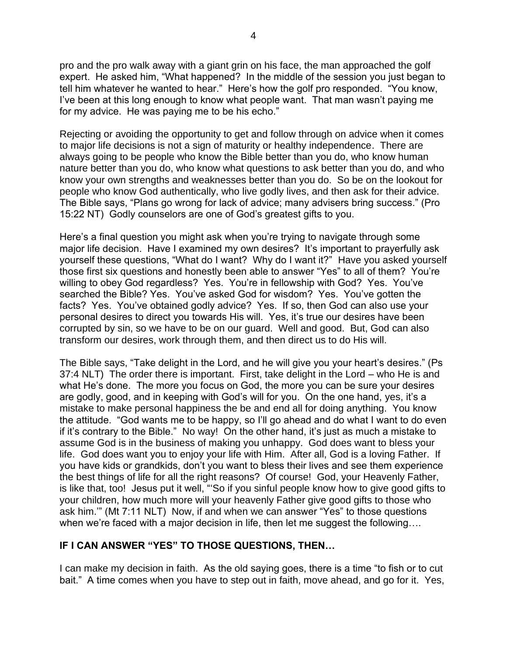pro and the pro walk away with a giant grin on his face, the man approached the golf expert. He asked him, "What happened? In the middle of the session you just began to tell him whatever he wanted to hear." Here's how the golf pro responded. "You know, I've been at this long enough to know what people want. That man wasn't paying me for my advice. He was paying me to be his echo."

Rejecting or avoiding the opportunity to get and follow through on advice when it comes to major life decisions is not a sign of maturity or healthy independence. There are always going to be people who know the Bible better than you do, who know human nature better than you do, who know what questions to ask better than you do, and who know your own strengths and weaknesses better than you do. So be on the lookout for people who know God authentically, who live godly lives, and then ask for their advice. The Bible says, "Plans go wrong for lack of advice; many advisers bring success." (Pro 15:22 NT) Godly counselors are one of God's greatest gifts to you.

Here's a final question you might ask when you're trying to navigate through some major life decision. Have I examined my own desires? It's important to prayerfully ask yourself these questions, "What do I want? Why do I want it?" Have you asked yourself those first six questions and honestly been able to answer "Yes" to all of them? You're willing to obey God regardless? Yes. You're in fellowship with God? Yes. You've searched the Bible? Yes. You've asked God for wisdom? Yes. You've gotten the facts? Yes. You've obtained godly advice? Yes. If so, then God can also use your personal desires to direct you towards His will. Yes, it's true our desires have been corrupted by sin, so we have to be on our guard. Well and good. But, God can also transform our desires, work through them, and then direct us to do His will.

The Bible says, "Take delight in the Lord, and he will give you your heart's desires." (Ps 37:4 NLT) The order there is important. First, take delight in the Lord – who He is and what He's done. The more you focus on God, the more you can be sure your desires are godly, good, and in keeping with God's will for you. On the one hand, yes, it's a mistake to make personal happiness the be and end all for doing anything. You know the attitude. "God wants me to be happy, so I'll go ahead and do what I want to do even if it's contrary to the Bible." No way! On the other hand, it's just as much a mistake to assume God is in the business of making you unhappy. God does want to bless your life. God does want you to enjoy your life with Him. After all, God is a loving Father. If you have kids or grandkids, don't you want to bless their lives and see them experience the best things of life for all the right reasons? Of course! God, your Heavenly Father, is like that, too! Jesus put it well, "'So if you sinful people know how to give good gifts to your children, how much more will your heavenly Father give good gifts to those who ask him.'" (Mt 7:11 NLT) Now, if and when we can answer "Yes" to those questions when we're faced with a major decision in life, then let me suggest the following….

## **IF I CAN ANSWER "YES" TO THOSE QUESTIONS, THEN…**

I can make my decision in faith. As the old saying goes, there is a time "to fish or to cut bait." A time comes when you have to step out in faith, move ahead, and go for it. Yes,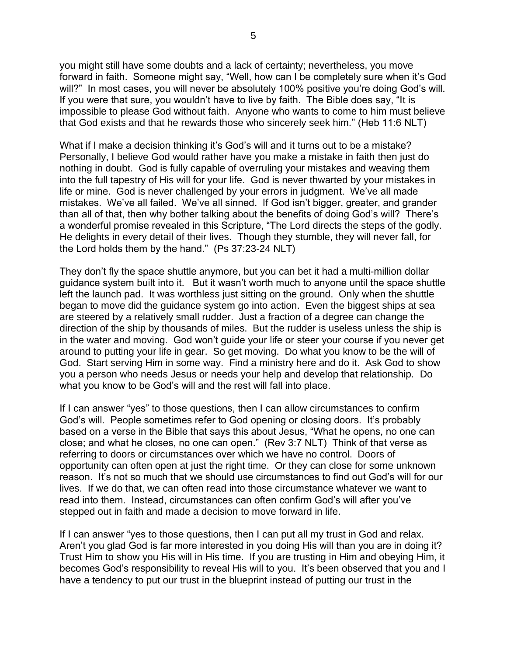you might still have some doubts and a lack of certainty; nevertheless, you move forward in faith. Someone might say, "Well, how can I be completely sure when it's God will?" In most cases, you will never be absolutely 100% positive you're doing God's will. If you were that sure, you wouldn't have to live by faith. The Bible does say, "It is impossible to please God without faith. Anyone who wants to come to him must believe that God exists and that he rewards those who sincerely seek him." (Heb 11:6 NLT)

What if I make a decision thinking it's God's will and it turns out to be a mistake? Personally, I believe God would rather have you make a mistake in faith then just do nothing in doubt. God is fully capable of overruling your mistakes and weaving them into the full tapestry of His will for your life. God is never thwarted by your mistakes in life or mine. God is never challenged by your errors in judgment. We've all made mistakes. We've all failed. We've all sinned. If God isn't bigger, greater, and grander than all of that, then why bother talking about the benefits of doing God's will? There's a wonderful promise revealed in this Scripture, "The Lord directs the steps of the godly. He delights in every detail of their lives. Though they stumble, they will never fall, for the Lord holds them by the hand." (Ps 37:23-24 NLT)

They don't fly the space shuttle anymore, but you can bet it had a multi-million dollar guidance system built into it. But it wasn't worth much to anyone until the space shuttle left the launch pad. It was worthless just sitting on the ground. Only when the shuttle began to move did the guidance system go into action. Even the biggest ships at sea are steered by a relatively small rudder. Just a fraction of a degree can change the direction of the ship by thousands of miles. But the rudder is useless unless the ship is in the water and moving. God won't guide your life or steer your course if you never get around to putting your life in gear. So get moving. Do what you know to be the will of God. Start serving Him in some way. Find a ministry here and do it. Ask God to show you a person who needs Jesus or needs your help and develop that relationship. Do what you know to be God's will and the rest will fall into place.

If I can answer "yes" to those questions, then I can allow circumstances to confirm God's will. People sometimes refer to God opening or closing doors. It's probably based on a verse in the Bible that says this about Jesus, "What he opens, no one can close; and what he closes, no one can open." (Rev 3:7 NLT) Think of that verse as referring to doors or circumstances over which we have no control. Doors of opportunity can often open at just the right time. Or they can close for some unknown reason. It's not so much that we should use circumstances to find out God's will for our lives. If we do that, we can often read into those circumstance whatever we want to read into them. Instead, circumstances can often confirm God's will after you've stepped out in faith and made a decision to move forward in life.

If I can answer "yes to those questions, then I can put all my trust in God and relax. Aren't you glad God is far more interested in you doing His will than you are in doing it? Trust Him to show you His will in His time. If you are trusting in Him and obeying Him, it becomes God's responsibility to reveal His will to you. It's been observed that you and I have a tendency to put our trust in the blueprint instead of putting our trust in the